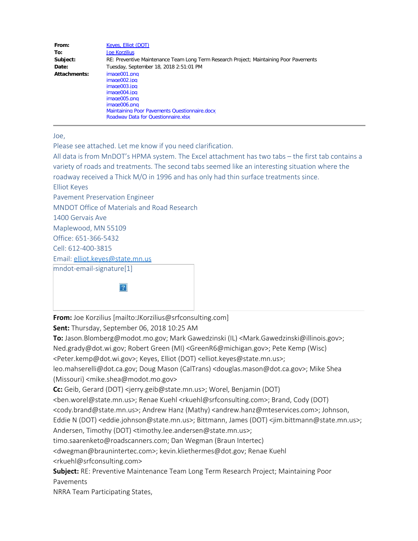| From:        | Keyes, Elliot (DOT)                                                                    |
|--------------|----------------------------------------------------------------------------------------|
| To:          | <b>Joe Korzilius</b>                                                                   |
| Subject:     | RE: Preventive Maintenance Team Long Term Research Project; Maintaining Poor Pavements |
| Date:        | Tuesday, September 18, 2018 2:51:01 PM                                                 |
| Attachments: | image001.png                                                                           |
|              | image002.jpg                                                                           |
|              | image003.jpg                                                                           |
|              | image004.jpg                                                                           |
|              | image005.png                                                                           |
|              | image006.p <sub>ng</sub>                                                               |
|              | <b>Maintaining Poor Pavements Questionnaire.docx</b>                                   |
|              | Roadway Data for Questionnaire.xlsx                                                    |

Joe,

Please see attached. Let me know if you need clarification.

All data is from MnDOT's HPMA system. The Excel attachment has two tabs – the first tab contains a variety of roads and treatments. The second tabs seemed like an interesting situation where the roadway received a Thick M/O in 1996 and has only had thin surface treatments since.

Elliot Keyes

Pavement Preservation Engineer

MNDOT Office of Materials and Road Research

1400 Gervais Ave

Maplewood, MN 55109

Office: 651-366-5432

Cell: 612-400-3815

Email: [elliot.keyes@state.mn.us](mailto:elliot.keyes@state.mn.us)

mndot-email-signature[1]

**From:** Joe Korzilius [mailto:JKorzilius@srfconsulting.com]

**Sent:** Thursday, September 06, 2018 10:25 AM

 $|2|$ 

**To:** Jason.Blomberg@modot.mo.gov; Mark Gawedzinski (IL) <Mark.Gawedzinski@illinois.gov>;

Ned.grady@dot.wi.gov; Robert Green (MI) <GreenR6@michigan.gov>; Pete Kemp (Wisc)

<Peter.kemp@dot.wi.gov>; Keyes, Elliot (DOT) <elliot.keyes@state.mn.us>;

leo.mahserelli@dot.ca.gov; Doug Mason (CalTrans) <douglas.mason@dot.ca.gov>; Mike Shea (Missouri) <mike.shea@modot.mo.gov>

**Cc:** Geib, Gerard (DOT) <jerry.geib@state.mn.us>; Worel, Benjamin (DOT)

<ben.worel@state.mn.us>; Renae Kuehl <rkuehl@srfconsulting.com>; Brand, Cody (DOT)

<cody.brand@state.mn.us>; Andrew Hanz (Mathy) <andrew.hanz@mteservices.com>; Johnson,

Eddie N (DOT) <eddie.johnson@state.mn.us>; Bittmann, James (DOT) <jim.bittmann@state.mn.us>;

Andersen, Timothy (DOT) <timothy.lee.andersen@state.mn.us>;

timo.saarenketo@roadscanners.com; Dan Wegman (Braun Intertec)

<dwegman@braunintertec.com>; kevin.kliethermes@dot.gov; Renae Kuehl

<rkuehl@srfconsulting.com>

**Subject:** RE: Preventive Maintenance Team Long Term Research Project; Maintaining Poor Pavements

NRRA Team Participating States,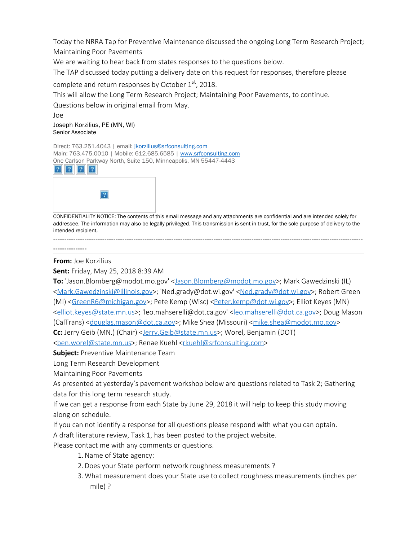Today the NRRA Tap for Preventive Maintenance discussed the ongoing Long Term Research Project; Maintaining Poor Pavements

We are waiting to hear back from states responses to the questions below.

The TAP discussed today putting a delivery date on this request for responses, therefore please

complete and return responses by October 1<sup>st</sup>, 2018.

This will allow the Long Term Research Project; Maintaining Poor Pavements, to continue.

Questions below in original email from May.

Joe Joseph Korzilius, PE (MN, WI) Senior Associate

Direct: 763.251.4043 | email: [jkorzilius@srfconsulting.com](mailto:jkorzilius@srfconsulting.com) Main: 763.475.0010 | Mobile: 612.685.6585 | [www.srfconsulting.com](http://www.srfconsulting.com/) One Carlson Parkway North, Suite 150, Minneapolis, MN 55447-4443





CONFIDENTIALITY NOTICE: The contents of this email message and any attachments are confidential and are intended solely for addressee. The information may also be legally privileged. This transmission is sent in trust, for the sole purpose of delivery to the intended recipient. -------------------------------------------------------------------------------------------------------------------------------------------

---------------

**From:** Joe Korzilius

**Sent:** Friday, May 25, 2018 8:39 AM

**To:** 'Jason.Blomberg@modot.mo.gov' [<Jason.Blomberg@modot.mo.gov](mailto:Jason.Blomberg@modot.mo.gov)>; Mark Gawedzinski (IL) [<Mark.Gawedzinski@illinois.gov](mailto:Mark.Gawedzinski@illinois.gov)>; 'Ned.grady@dot.wi.gov' [<Ned.grady@dot.wi.gov](mailto:Ned.grady@dot.wi.gov)>; Robert Green (MI) [<GreenR6@michigan.gov](mailto:GreenR6@michigan.gov)>; Pete Kemp (Wisc) <[Peter.kemp@dot.wi.gov>](mailto:Peter.kemp@dot.wi.gov); Elliot Keyes (MN) [<elliot.keyes@state.mn.us](mailto:elliot.keyes@state.mn.us)>; 'leo.mahserelli@dot.ca.gov' [<leo.mahserelli@dot.ca.gov](mailto:leo.mahserelli@dot.ca.gov)>; Doug Mason (CalTrans) [<douglas.mason@dot.ca.gov](mailto:douglas.mason@dot.ca.gov)>; Mike Shea (Missouri) <[mike.shea@modot.mo.gov>](mailto:mike.shea@modot.mo.gov) **Cc:** Jerry Geib (MN.) (Chair) [<Jerry.Geib@state.mn.us](mailto:Jerry.Geib@state.mn.us)>; Worel, Benjamin (DOT)

[<ben.worel@state.mn.us](mailto:ben.worel@state.mn.us)>; Renae Kuehl <[rkuehl@srfconsulting.com>](mailto:rkuehl@srfconsulting.com)

**Subject:** Preventive Maintenance Team

Long Term Research Development

Maintaining Poor Pavements

As presented at yesterday's pavement workshop below are questions related to Task 2; Gathering data for this long term research study.

If we can get a response from each State by June 29, 2018 it will help to keep this study moving along on schedule.

If you can not identify a response for all questions please respond with what you can optain.

A draft literature review, Task 1, has been posted to the project website.

Please contact me with any comments or questions.

- 1.Name of State agency:
- 2.Does your State perform network roughness measurements ?
- 3. What measurement does your State use to collect roughness measurements (inches per mile) ?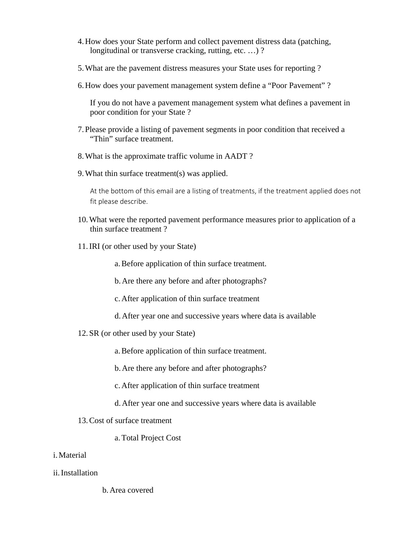- 4.How does your State perform and collect pavement distress data (patching, longitudinal or transverse cracking, rutting, etc. ...)?
- 5.What are the pavement distress measures your State uses for reporting ?
- 6.How does your pavement management system define a "Poor Pavement" ?

If you do not have a pavement management system what defines a pavement in poor condition for your State ?

- 7. Please provide a listing of pavement segments in poor condition that received a "Thin" surface treatment.
- 8.What is the approximate traffic volume in AADT ?
- 9.What thin surface treatment(s) was applied.

At the bottom of this email are a listing of treatments, if the treatment applied does not fit please describe.

- 10.What were the reported pavement performance measures prior to application of a thin surface treatment ?
- 11.IRI (or other used by your State)

a.Before application of thin surface treatment.

b.Are there any before and after photographs?

c.After application of thin surface treatment

- d.After year one and successive years where data is available
- 12. SR (or other used by your State)

a.Before application of thin surface treatment.

b.Are there any before and after photographs?

c.After application of thin surface treatment

- d.After year one and successive years where data is available
- 13.Cost of surface treatment
	- a.Total Project Cost
- i.Material
- ii.Installation

b.Area covered